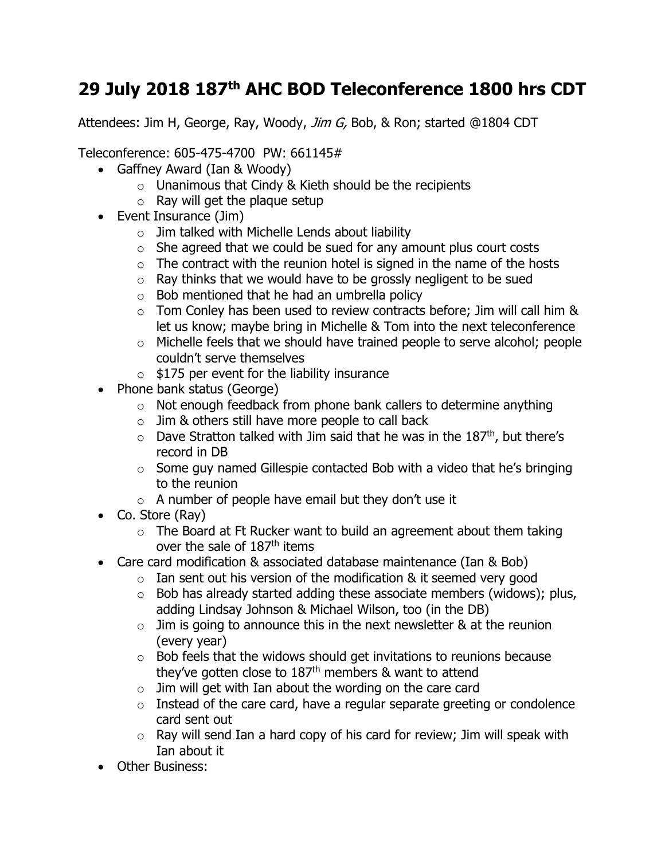## **29 July 2018 187th AHC BOD Teleconference 1800 hrs CDT**

Attendees: Jim H, George, Ray, Woody, Jim G, Bob, & Ron; started @1804 CDT

Teleconference: 605-475-4700 PW: 661145#

- Gaffney Award (Ian & Woody)
	- o Unanimous that Cindy & Kieth should be the recipients
	- $\circ$  Ray will get the plaque setup
- Event Insurance (Jim)
	- $\circ$  Jim talked with Michelle Lends about liability
	- $\circ$  She agreed that we could be sued for any amount plus court costs
	- $\circ$  The contract with the reunion hotel is signed in the name of the hosts
	- $\circ$  Ray thinks that we would have to be grossly negligent to be sued
	- $\circ$  Bob mentioned that he had an umbrella policy
	- $\circ$  Tom Conley has been used to review contracts before; Jim will call him & let us know; maybe bring in Michelle & Tom into the next teleconference
	- o Michelle feels that we should have trained people to serve alcohol; people couldn't serve themselves
	- $\circ$  \$175 per event for the liability insurance
- Phone bank status (George)
	- o Not enough feedback from phone bank callers to determine anything
	- $\circ$  Jim & others still have more people to call back
	- $\circ$  Dave Stratton talked with Jim said that he was in the 187<sup>th</sup>, but there's record in DB
	- $\circ$  Some guy named Gillespie contacted Bob with a video that he's bringing to the reunion
	- $\circ$  A number of people have email but they don't use it
- Co. Store (Ray)
	- $\circ$  The Board at Ft Rucker want to build an agreement about them taking over the sale of 187<sup>th</sup> items
- Care card modification & associated database maintenance (Ian & Bob)
	- $\circ$  Ian sent out his version of the modification & it seemed very good
	- $\circ$  Bob has already started adding these associate members (widows); plus, adding Lindsay Johnson & Michael Wilson, too (in the DB)
	- $\circ$  Jim is going to announce this in the next newsletter & at the reunion (every year)
	- $\circ$  Bob feels that the widows should get invitations to reunions because they've gotten close to 187th members & want to attend
	- $\circ$  Jim will get with Ian about the wording on the care card
	- $\circ$  Instead of the care card, have a regular separate greeting or condolence card sent out
	- $\circ$  Ray will send Ian a hard copy of his card for review; Jim will speak with Ian about it
- Other Business: